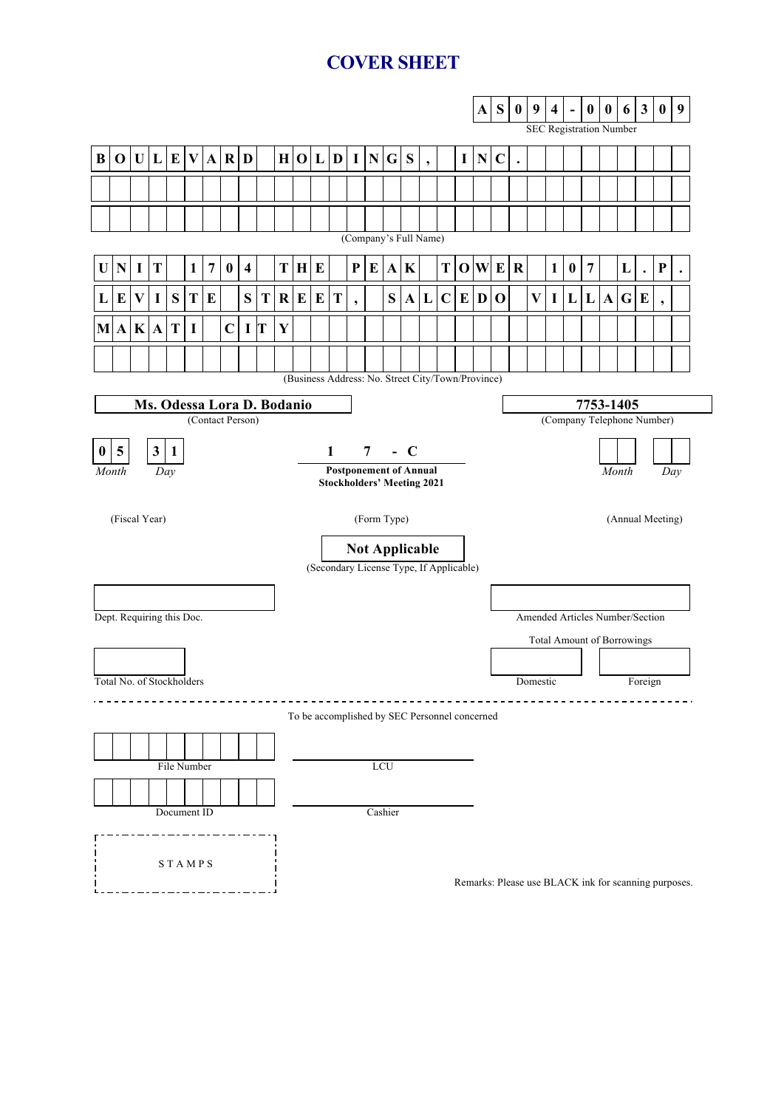# **COVER SHEET**

|                                                                                                                      |                                                |          |              |                           |              |                |                  |                         |    |              |              |              |              |           |                |                                               |             |                          |             |           | ${\bf A}$    | ${\bf S}$                         | $\pmb{0}$ | 9                       | $\overline{\mathbf{4}}$ | $\blacksquare$   | $\mathbf{0}$     | $\boldsymbol{0}$ | 6                                                    | $\mathbf{3}$         | $\bf{0}$                 | 9 |  |
|----------------------------------------------------------------------------------------------------------------------|------------------------------------------------|----------|--------------|---------------------------|--------------|----------------|------------------|-------------------------|----|--------------|--------------|--------------|--------------|-----------|----------------|-----------------------------------------------|-------------|--------------------------|-------------|-----------|--------------|-----------------------------------|-----------|-------------------------|-------------------------|------------------|------------------|------------------|------------------------------------------------------|----------------------|--------------------------|---|--|
|                                                                                                                      |                                                |          |              |                           |              |                |                  |                         |    |              |              |              |              |           |                |                                               |             |                          |             |           |              |                                   |           |                         |                         |                  |                  |                  | <b>SEC Registration Number</b>                       |                      |                          |   |  |
| $\bf{B}$                                                                                                             | $\mathbf 0$                                    |          | U L          | E                         | $\mathbf{V}$ | $\mathbf{A}$   | $\mathbf R$      | D                       |    | H            | $\mathbf{0}$ | $\mathbf{L}$ | D            | $\bf{I}$  | ${\bf N}$      | G                                             | ${\bf S}$   | $\overline{\phantom{a}}$ |             | I         | ${\bf N}$    | $\mathbf C$                       | $\bullet$ |                         |                         |                  |                  |                  |                                                      |                      |                          |   |  |
|                                                                                                                      |                                                |          |              |                           |              |                |                  |                         |    |              |              |              |              |           |                |                                               |             |                          |             |           |              |                                   |           |                         |                         |                  |                  |                  |                                                      |                      |                          |   |  |
|                                                                                                                      |                                                |          |              |                           |              |                |                  |                         |    |              |              |              |              |           |                |                                               |             |                          |             |           |              |                                   |           |                         |                         |                  |                  |                  |                                                      |                      |                          |   |  |
|                                                                                                                      | (Company's Full Name)                          |          |              |                           |              |                |                  |                         |    |              |              |              |              |           |                |                                               |             |                          |             |           |              |                                   |           |                         |                         |                  |                  |                  |                                                      |                      |                          |   |  |
| U                                                                                                                    | $\mathbf N$                                    | $\bf{I}$ | T            |                           | $\mathbf{1}$ | $\overline{7}$ | $\boldsymbol{0}$ | $\overline{\mathbf{4}}$ |    | T            | H            | $\bf{E}$     |              | ${\bf P}$ | $\bf{E}$       | $\mathbf{A}$                                  | $\mathbf K$ |                          | ${\bf T}$   |           |              | O W E                             | ${\bf R}$ |                         | $\mathbf{1}$            | $\boldsymbol{0}$ | $\boldsymbol{7}$ |                  | L                                                    | $\ddot{\phantom{0}}$ | ${\bf P}$                |   |  |
| L                                                                                                                    | E                                              | V        | $\mathbf I$  | ${\bf S}$                 | T            | E              |                  | S                       | T. | $\mathbf{R}$ | E            | $\bf{E}$     | T            |           |                | ${\bf S}$                                     | $\mathbf A$ | L                        | $\mathbf C$ | ${\bf E}$ | $\mathbf{D}$ | $\mathbf 0$                       |           | $\overline{\mathbf{V}}$ | $\mathbf I$             | L                | $\mathbf{L}$     | $\mathbf{A}$     | $\mathbf G$                                          | E                    | $\overline{\phantom{a}}$ |   |  |
| M A                                                                                                                  |                                                |          | K A          | T                         | I            |                | $\mathbf C$      | I                       | T  | $\mathbf Y$  |              |              |              |           |                |                                               |             |                          |             |           |              |                                   |           |                         |                         |                  |                  |                  |                                                      |                      |                          |   |  |
|                                                                                                                      |                                                |          |              |                           |              |                |                  |                         |    |              |              |              |              |           |                |                                               |             |                          |             |           |              |                                   |           |                         |                         |                  |                  |                  |                                                      |                      |                          |   |  |
|                                                                                                                      |                                                |          |              |                           |              |                |                  |                         |    |              |              |              |              |           |                |                                               |             |                          |             |           |              |                                   |           |                         |                         |                  |                  |                  |                                                      |                      |                          |   |  |
| (Business Address: No. Street City/Town/Province)<br>Ms. Odessa Lora D. Bodanio<br>7753-1405                         |                                                |          |              |                           |              |                |                  |                         |    |              |              |              |              |           |                |                                               |             |                          |             |           |              |                                   |           |                         |                         |                  |                  |                  |                                                      |                      |                          |   |  |
|                                                                                                                      | (Company Telephone Number)<br>(Contact Person) |          |              |                           |              |                |                  |                         |    |              |              |              |              |           |                |                                               |             |                          |             |           |              |                                   |           |                         |                         |                  |                  |                  |                                                      |                      |                          |   |  |
| $\bf{0}$                                                                                                             | 5                                              |          | $\mathbf{3}$ | $\mathbf{1}$              |              |                |                  |                         |    |              |              |              | $\mathbf{1}$ |           | $\overline{7}$ |                                               | $-C$        |                          |             |           |              |                                   |           |                         |                         |                  |                  |                  |                                                      |                      |                          |   |  |
| <b>Postponement of Annual</b><br>Month<br>Day<br>Day<br>Month<br><b>Stockholders' Meeting 2021</b>                   |                                                |          |              |                           |              |                |                  |                         |    |              |              |              |              |           |                |                                               |             |                          |             |           |              |                                   |           |                         |                         |                  |                  |                  |                                                      |                      |                          |   |  |
| (Fiscal Year)<br>(Form Type)<br>(Annual Meeting)<br><b>Not Applicable</b><br>(Secondary License Type, If Applicable) |                                                |          |              |                           |              |                |                  |                         |    |              |              |              |              |           |                |                                               |             |                          |             |           |              |                                   |           |                         |                         |                  |                  |                  |                                                      |                      |                          |   |  |
|                                                                                                                      |                                                |          |              |                           |              |                |                  |                         |    |              |              |              |              |           |                |                                               |             |                          |             |           |              |                                   |           |                         |                         |                  |                  |                  |                                                      |                      |                          |   |  |
|                                                                                                                      |                                                |          |              | Dept. Requiring this Doc. |              |                |                  |                         |    |              |              |              |              |           |                |                                               |             |                          |             |           |              |                                   |           |                         |                         |                  |                  |                  | Amended Articles Number/Section                      |                      |                          |   |  |
|                                                                                                                      |                                                |          |              |                           |              |                |                  |                         |    |              |              |              |              |           |                |                                               |             |                          |             |           |              | <b>Total Amount of Borrowings</b> |           |                         |                         |                  |                  |                  |                                                      |                      |                          |   |  |
|                                                                                                                      |                                                |          |              | Total No. of Stockholders |              |                |                  |                         |    |              |              |              |              |           |                |                                               |             |                          |             |           |              |                                   |           | Domestic                |                         |                  |                  | Foreign          |                                                      |                      |                          |   |  |
|                                                                                                                      |                                                |          |              |                           |              |                |                  |                         |    |              |              |              |              |           |                |                                               |             |                          |             |           |              |                                   |           |                         |                         |                  |                  |                  |                                                      |                      |                          |   |  |
|                                                                                                                      |                                                |          |              |                           |              |                |                  |                         |    |              |              |              |              |           |                | To be accomplished by SEC Personnel concerned |             |                          |             |           |              |                                   |           |                         |                         |                  |                  |                  |                                                      |                      |                          |   |  |
|                                                                                                                      |                                                |          |              |                           |              |                |                  |                         |    |              |              |              |              |           |                |                                               |             |                          |             |           |              |                                   |           |                         |                         |                  |                  |                  |                                                      |                      |                          |   |  |
|                                                                                                                      |                                                |          |              | File Number               |              |                |                  |                         |    |              |              |              |              |           |                | LCU                                           |             |                          |             |           |              |                                   |           |                         |                         |                  |                  |                  |                                                      |                      |                          |   |  |
|                                                                                                                      |                                                |          |              | Document ID               |              |                |                  |                         |    |              |              |              |              |           |                | Cashier                                       |             |                          |             |           |              |                                   |           |                         |                         |                  |                  |                  |                                                      |                      |                          |   |  |
|                                                                                                                      |                                                |          |              |                           |              |                |                  |                         |    |              |              |              |              |           |                |                                               |             |                          |             |           |              |                                   |           |                         |                         |                  |                  |                  |                                                      |                      |                          |   |  |
|                                                                                                                      |                                                |          |              | <b>STAMPS</b>             |              |                |                  |                         |    |              |              |              |              |           |                |                                               |             |                          |             |           |              |                                   |           |                         |                         |                  |                  |                  | Remarks: Please use BLACK ink for scanning purposes. |                      |                          |   |  |
|                                                                                                                      |                                                |          |              |                           |              |                |                  |                         |    |              |              |              |              |           |                |                                               |             |                          |             |           |              |                                   |           |                         |                         |                  |                  |                  |                                                      |                      |                          |   |  |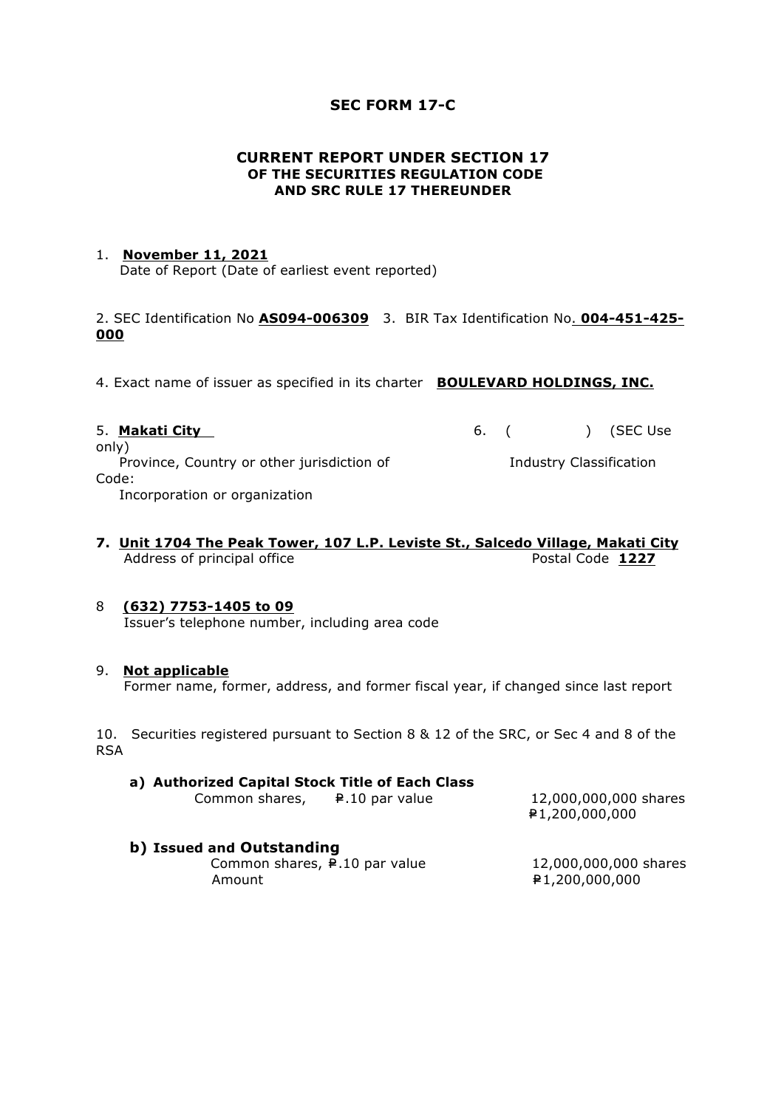## **SEC FORM 17-C**

#### **CURRENT REPORT UNDER SECTION 17 OF THE SECURITIES REGULATION CODE AND SRC RULE 17 THEREUNDER**

#### 1. **November 11, 2021**

Date of Report (Date of earliest event reported)

2. SEC Identification No **AS094-006309** 3. BIR Tax Identification No. **004-451-425- 000**

4. Exact name of issuer as specified in its charter **BOULEVARD HOLDINGS, INC.**

| 5. Makati City                             |  | 6. ( ) (SEC Use         |
|--------------------------------------------|--|-------------------------|
| only)                                      |  |                         |
| Province, Country or other jurisdiction of |  | Industry Classification |
| Code:                                      |  |                         |
| Incorporation or organization              |  |                         |

### **7. Unit 1704 The Peak Tower, 107 L.P. Leviste St., Salcedo Village, Makati City** Address of principal office **Postal Code 1227**

## 8 **(632) 7753-1405 to 09**

Issuer's telephone number, including area code

#### 9. **Not applicable**

Former name, former, address, and former fiscal year, if changed since last report

10. Securities registered pursuant to Section 8 & 12 of the SRC, or Sec 4 and 8 of the RSA

#### **a) Authorized Capital Stock Title of Each Class**

| Common shares,                          | ₽.10 par value | 12,000,000,000 shares<br>1,200,000,000 ₽ 1, |
|-----------------------------------------|----------------|---------------------------------------------|
| b) Issued and Outstanding               |                |                                             |
| Common shares, $\sqrt{P}$ .10 par value |                | 12,000,000,000 shares                       |

Amount =P1,200,000,000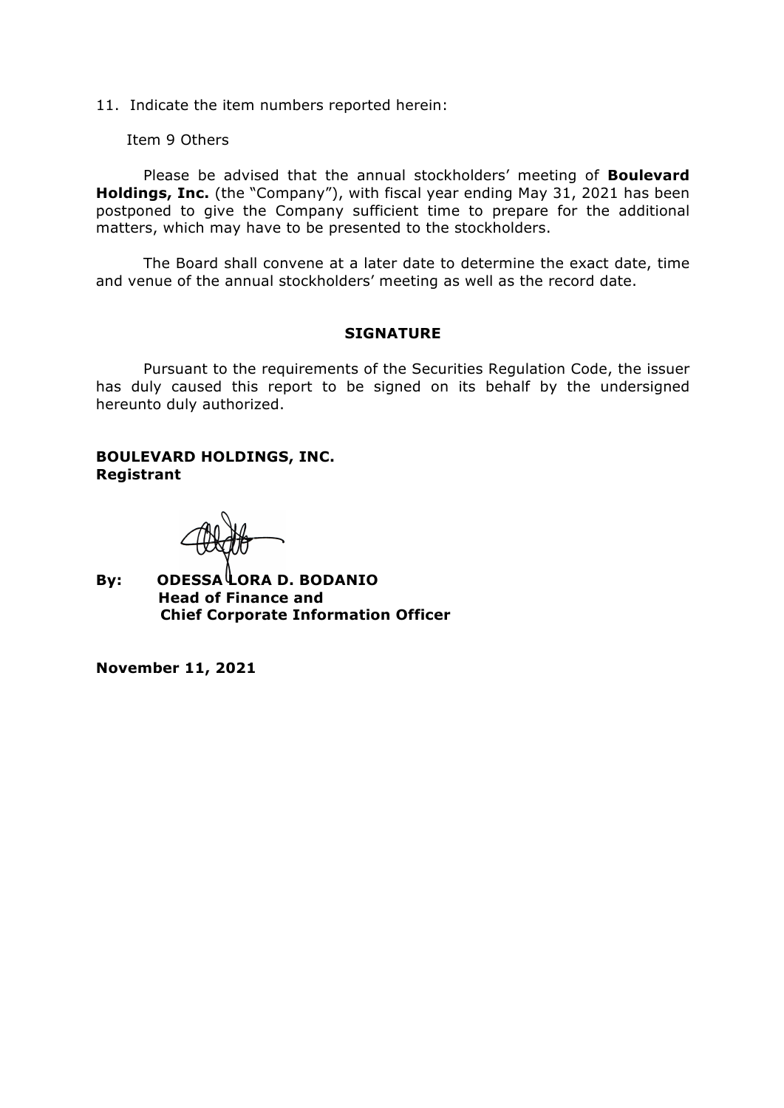11. Indicate the item numbers reported herein:

Item 9 Others

Please be advised that the annual stockholders' meeting of **Boulevard Holdings, Inc.** (the "Company"), with fiscal year ending May 31, 2021 has been postponed to give the Company sufficient time to prepare for the additional matters, which may have to be presented to the stockholders.

The Board shall convene at a later date to determine the exact date, time and venue of the annual stockholders' meeting as well as the record date.

#### **SIGNATURE**

Pursuant to the requirements of the Securities Regulation Code, the issuer has duly caused this report to be signed on its behalf by the undersigned hereunto duly authorized.

## **BOULEVARD HOLDINGS, INC. Registrant**

**By: ODESSA LORA D. BODANIO Head of Finance and Chief Corporate Information Officer** 

**November 11, 2021**